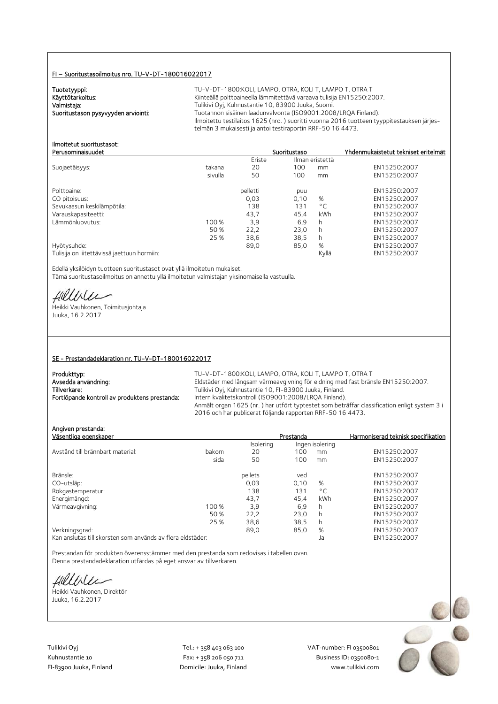#### FI – Suoritustasoilmoitus nro. TU-V-DT-180016022017

Tuotetyyppi:<br>Käyttötarkoitus:

TU-V-DT-1800:KOLI, LAMPO, OTRA, KOLI T, LAMPO T, OTRA T Käyttötarkoitus: Käyttötarkoitus: Kiinteällä polttoaineella lämmitettävä varaava tulisija EN15250:2007.<br>Valmistaja: Kuhnustantie 10, 83900 Juuka, Suomi. Valmistaja: Valmistaja: Tulikivi Oyj, Kuhnustantie 10, 83900 Juuka, Suomi.<br>2008–1:2008 Tuotannon sisäinen laadunvalvonta (ISO9001:2008 Tuotannon sisäinen laadunvalvonta (ISO9001:2008/LRQA Finland). Ilmoitettu testilaitos 1625 (nro. ) suoritti vuonna 2016 tuotteen tyyppitestauksen järjestelmän 3 mukaisesti ja antoi testiraportin RRF-50 16 4473.

#### Ilmoitetut suoritustasot: Perusominaisuudet Suoritustaso Yhdenmukaistetut tekniset eritelmät

|                                             |         | Eriste   | Ilman eristettä |              |              |
|---------------------------------------------|---------|----------|-----------------|--------------|--------------|
| Suojaetäisyys:                              | takana  | 20       | 100             | mm           | EN15250:2007 |
|                                             | sivulla | 50       | 100             | mm           | EN15250:2007 |
| Polttoaine:                                 |         | pelletti | puu             |              | EN15250:2007 |
| CO pitoisuus:                               |         | 0,03     | 0,10            | %            | EN15250:2007 |
| Savukaasun keskilämpötila:                  |         | 138      | 131             | $^{\circ}$ C | EN15250:2007 |
| Varauskapasiteetti:                         |         | 43.7     | 45.4            | kWh          | EN15250:2007 |
| Lämmönluovutus:                             | 100 %   | 3,9      | 6,9             | h            | EN15250:2007 |
|                                             | 50 %    | 22,2     | 23.0            | h            | EN15250:2007 |
|                                             | 25 %    | 38,6     | 38,5            | h            | EN15250:2007 |
| Hyötysuhde:                                 |         | 89,0     | 85,0            | %            | EN15250:2007 |
| Tulisija on liitettävissä jaettuun hormiin: |         |          |                 | Kyllä        | EN15250:2007 |

Edellä yksilöidyn tuotteen suoritustasot ovat yllä ilmoitetun mukaiset. Tämä suoritustasoilmoitus on annettu yllä ilmoitetun valmistajan yksinomaisella vastuulla.

fielliter

Heikki Vauhkonen, Toimitusjohtaja Juuka, 16.2.2017

#### SE - Prestandadeklaration nr. TU-V-DT-180016022017

| Produkttyp:                                   | TU-V-DT-1800:KOLI. LAMPO. OTRA. KOLI T. LAMPO T. OTRA T                                     |
|-----------------------------------------------|---------------------------------------------------------------------------------------------|
| Avsedda användning:                           | Eldstäder med långsam värmeavgivning för eldning med fast bränsle EN15250:2007.             |
| Tillverkare:                                  | Tulikivi Oyj, Kuhnustantie 10, FI-83900 Juuka, Finland.                                     |
| Fortlöpande kontroll av produktens prestanda: | Intern kvalitetskontroll (ISO9001:2008/LRQA Finland).                                       |
|                                               | Anmält organ 1625 (nr.) har utfört typtestet som beträffar classification enligt system 3 i |
|                                               | 2016 och har publicerat följande rapporten RRF-50 16 4473.                                  |

| Angiven prestanda:<br>Väsentliga egenskaper |       |           | Prestanda |                 | Harmoniserad teknisk specifikation |
|---------------------------------------------|-------|-----------|-----------|-----------------|------------------------------------|
|                                             |       | Isolering |           | Ingen isolering |                                    |
| Avstånd till brännbart material:            | bakom | 20        | 100       | mm              | EN15250:2007                       |
|                                             | sida  | 50        | 100       | mm              | EN15250:2007                       |
| Bränsle:                                    |       | pellets   | ved       |                 | EN15250:2007                       |
| CO-utsläp:                                  |       | 0,03      | 0,10      | %               | EN15250:2007                       |
| Rökgastemperatur:                           |       | 138       | 131       | $^{\circ}$ C    | EN15250:2007                       |
| Energimängd:                                |       | 43.7      | 45.4      | kWh             | EN15250:2007                       |
| Värmeavgivning:                             | 100 % | 3,9       | 6,9       | h               | EN15250:2007                       |
|                                             | 50 %  | 22,2      | 23,0      | h               | EN15250:2007                       |
|                                             | 25 %  | 38,6      | 38,5      | h               | EN15250:2007                       |
| Verkningsgrad:                              |       | 89,0      | 85,0      | %               | EN15250:2007                       |
|                                             |       |           |           |                 |                                    |

Kan anslutas till skorsten som används av flera eldstäder: Ja EN15250:2007

Prestandan för produkten överensstämmer med den prestanda som redovisas i tabellen ovan. Denna prestandadeklaration utfärdas på eget ansvar av tillverkaren.

fielliter

Heikki Vauhkonen, Direktör Juuka, 16.2.2017

Tulikivi Oyj Tel.: + 358 403 063 100 VAT‐number: FI 03500801

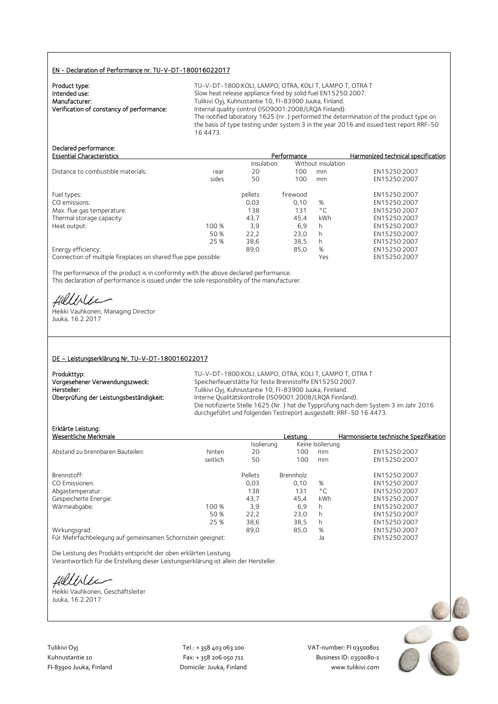#### EN - Declaration of Performance nr. TU-V-DT-180016022017

| Product type:                             |  |
|-------------------------------------------|--|
| Intended use:                             |  |
| Manufacturer:                             |  |
| Verification of constancy of performance: |  |
|                                           |  |

TU-V-DT-1800:KOLI, LAMPO, OTRA, KOLI T, LAMPO T, OTRA T Slow heat release appliance fired by solid fuel EN15250:2007. Tulikivi Oyj, Kuhnustantie 10, FI-83900 Juuka, Finland. Internal quality control (ISO9001:2008/LRQA Finland). The notified laboratory 1625 (nr. ) performed the determination of the product type on the basis of type testing under system 3 in the year 2016 and issued test report RRF-50 16 4473.

Essential Characteristics Performance Harmonized technical specification

# Declared performance:<br>Essential Characteristics

|                                    |       |            |          |                    | -----------  |
|------------------------------------|-------|------------|----------|--------------------|--------------|
|                                    |       | Insulation |          | Without insulation |              |
| Distance to combustible materials: | rear  | 20         | 100      | mm                 | EN15250:2007 |
|                                    | sides | 50         | 100      | mm                 | EN15250:2007 |
| Fuel types:                        |       | pellets    | firewood |                    | EN15250:2007 |
| CO emissions:                      |       | 0.03       | 0.10     | %                  | EN15250:2007 |
| Max. flue gas temperature:         |       | 138        | 131      | $^{\circ}$ C       | EN15250:2007 |
| Thermal storage capacity:          |       | 43.7       | 45.4     | kWh                | EN15250:2007 |
| Heat output:                       | 100 % | 3,9        | 6,9      | h                  | EN15250:2007 |
|                                    | 50 %  | 22,2       | 23.0     | h                  | EN15250:2007 |
|                                    | 25 %  | 38,6       | 38,5     | h                  | EN15250:2007 |
| Energy efficiency:                 |       | 89.0       | 85,0     | %                  | EN15250:2007 |
|                                    |       |            |          |                    |              |

Connection of multiple fireplaces on shared flue pipe possible: Yes EN15250:2007

The performance of the product is in conformity with the above declared performance. This declaration of performance is issued under the sole responsibility of the manufacturer.

Hillvier

Heikki Vauhkonen, Managing Director Juuka, 16.2.2017

#### DE – Leistungserklärung Nr. TU-V-DT-180016022017

| Produkttyp:                             |
|-----------------------------------------|
| Vorgesehener Verwendungszweck:          |
| Hersteller:                             |
| Überprüfung der Leistungsbeständigkeit: |
|                                         |

TU-V-DT-1800:KOLI, LAMPO, OTRA, KOLI T, LAMPO T, OTRA T Speicherfeuerstätte für feste Brennstoffe EN15250:2007. Tulikivi Oyj, Kuhnustantie 10, FI-83900 Juuka, Finnland. Interne Qualitätskontrolle (ISO9001:2008/LRQA Finnland). Die notifizierte Stelle 1625 (Nr. ) hat die Typprüfung nach dem System 3 im Jahr 2016 durchgeführt und folgenden Testreport ausgestellt: RRF-50 16 4473.

# Erklärte Leistung:

| Erklärte Leistung:<br>Wesentliche Merkmale                 | Leistuna  |                  | Harmonisierte technische Spezifikation |
|------------------------------------------------------------|-----------|------------------|----------------------------------------|
| Isolierung                                                 |           | Keine Isolierung |                                        |
| Abstand zu brennbaren Bauteilen:<br>hinten<br>20           | 100       | mm               | EN15250:2007                           |
| seitlich<br>50                                             | 100       | mm               | EN15250:2007                           |
| Brennstoff:<br>Pellets                                     | Brennholz |                  | EN15250:2007                           |
| CO Emissionen:<br>0.03                                     | 0.10      | %                | EN15250:2007                           |
| 138<br>Abgastemperatur:                                    | 131       | $^{\circ}$ C     | EN15250:2007                           |
| Gespeicherte Energie:<br>43,7                              | 45.4      | kWh              | EN15250:2007                           |
| Wärmeabgabe:<br>3.9<br>100 %                               | 6.9       | h.               | EN15250:2007                           |
| 22,2<br>50 %                                               | 23,0      | h.               | EN15250:2007                           |
| 25 %<br>38,6                                               | 38,5      | h.               | EN15250:2007                           |
| Wirkungsgrad:<br>89,0                                      | 85,0      | %                | EN15250:2007                           |
| Für Mehrfachbelegung auf gemeinsamen Schornstein geeignet: |           | Ja               | EN15250:2007                           |

Die Leistung des Produkts entspricht der oben erklärten Leistung. Verantwortlich für die Erstellung dieser Leistungserklärung ist allein der Hersteller.

Hillbler

Heikki Vauhkonen, Geschäftsleiter Juuka, 16.2.2017

Tulikivi Oyj Tel.: + 358 403 063 100 VAT‐number: FI 03500801

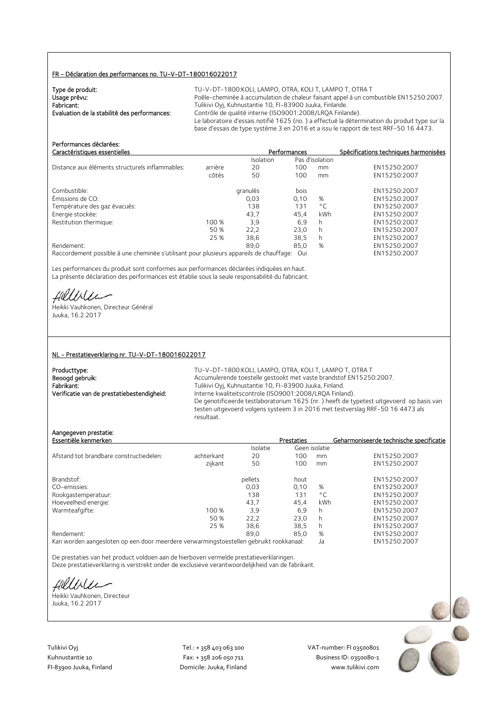# FR - Déclaration des performances no. TU-V-DT-180016022017

| Type de produit:                             | TU-V-DT-1800:KOLI. LAMPO. OTRA. KOLI T. LAMPO T. OTRA T                                       |
|----------------------------------------------|-----------------------------------------------------------------------------------------------|
| Usage prévu:                                 | Poêle-cheminée à accumulation de chaleur faisant appel à un combustible EN15250:2007.         |
| Fabricant:                                   | Tulikivi Oyj, Kuhnustantie 10, FI-83900 Juuka, Finlande.                                      |
| Evaluation de la stabilité des performances: | Contrôle de qualité interne (ISO9001:2008/LROA Finlande).                                     |
|                                              | Le laboratoire d'essais notifié 1625 (no.) a effectué la détermination du produit type sur la |
|                                              | base d'essais de type système 3 en 2016 et a issu le rapport de test RRF-50 16 4473.          |

| Performances déclarées:<br>Caractéristiques essentielles                                |         |           | Performances |                 | Spécifications techniques harmonisées |
|-----------------------------------------------------------------------------------------|---------|-----------|--------------|-----------------|---------------------------------------|
|                                                                                         |         | Isolation |              | Pas d'isolation |                                       |
| Distance aux éléments structurels inflammables:                                         | arrière | 20        | 100          | mm              | EN15250:2007                          |
|                                                                                         | côtés   | 50        | 100          | mm              | EN15250:2007                          |
| Combustible:                                                                            |         | granulés  | bois         |                 | EN15250:2007                          |
| Émissions de CO:                                                                        |         | 0,03      | 0,10         | %               | EN15250:2007                          |
| Température des gaz évacués:                                                            |         | 138       | 131          | $^{\circ}$ C    | EN15250:2007                          |
| Energie stockée:                                                                        |         | 43,7      | 45,4         | kWh             | EN15250:2007                          |
| Restitution thermique:                                                                  | 100 %   | 3.9       | 6,9          | h               | EN15250:2007                          |
|                                                                                         | 50 %    | 22,2      | 23,0         | h               | EN15250:2007                          |
|                                                                                         | 25 %    | 38.6      | 38,5         | h               | EN15250:2007                          |
| Rendement:                                                                              |         | 89.0      | 85,0         | %               | EN15250:2007                          |
| Raccordement possible à une cheminée s'utilisant pour plusieurs appareils de chauffage: |         |           | Oui          |                 | EN15250:2007                          |

Les performances du produit sont conformes aux performances déclarées indiquées en haut. La présente déclaration des performances est établie sous la seule responsabilité du fabricant.

fillisen

Heikki Vauhkonen, Directeur Général Juuka, 16.2.2017

#### NL - Prestatieverklaring nr. TU-V-DT-180016022017

| Producttype:                               |
|--------------------------------------------|
| Beoogd gebruik:                            |
| Fabrikant:                                 |
| Verificatie van de prestatiebestendigheid: |

TU-V-DT-1800: KOLI, LAMPO, OTRA, KOLI T, LAMPO T, OTRA T Accumulerende toestelle gestookt met vaste brandstof EN15250:2007. Fabrikant: Tulikivi Oyj, Kuhnustantie 10, FI-83900 Juuka, Finland. Interne kwaliteitscontrole (ISO9001:2008/LRQA Finland). De genotificeerde testlaboratorium 1625 (nr. ) heeft de typetest uitgevoerd op basis van testen uitgevoerd volgens systeem 3 in 2016 met testverslag RRF-50 16 4473 als resultaat.

## Aangegeven prestatie:

| Essentiële kenmerken                    |            |                 | Prestaties |               | Geharmoniseerde technische specificatie |
|-----------------------------------------|------------|-----------------|------------|---------------|-----------------------------------------|
|                                         |            | <b>Isolatie</b> |            | Geen isolatie |                                         |
| Afstand tot brandbare constructiedelen: | achterkant | 20              | 100        | mm            | EN15250:2007                            |
|                                         | zijkant    | 50              | 100        | mm            | EN15250:2007                            |
| Brandstof:                              |            | pellets         | hout       |               | EN15250:2007                            |
| CO-emissies:                            |            | 0.03            | 0.10       | %             | EN15250:2007                            |
| Rookgastemperatuur:                     |            | 138             | 131        | $^{\circ}$ C  | EN15250:2007                            |
| Hoeveelheid energie:                    |            | 43.7            | 45.4       | kWh           | EN15250:2007                            |
| Warmteafgifte:                          | 100 %      | 3,9             | 6.9        | h             | EN15250:2007                            |
|                                         | 50 %       | 22,2            | 23.0       | h             | EN15250:2007                            |
|                                         | 25 %       | 38,6            | 38,5       | h             | EN15250:2007                            |
| Rendement:                              |            | 89.0            | 85.0       | %             | EN15250:2007                            |
|                                         |            |                 |            |               |                                         |

Kan worden aangesloten op een door meerdere verwarmingstoestellen gebruikt rookkanaal: Ja EN15250:2007

De prestaties van het product voldoen aan de hierboven vermelde prestatieverklaringen. Deze prestatieverklaring is verstrekt onder de exclusieve verantwoordelijkheid van de fabrikant.

fillble

Heikki Vauhkonen, Directeur Juuka, 16.2.2017

Tulikivi Oyj Tel.: + 358 403 063 100 VAT‐number: FI 03500801

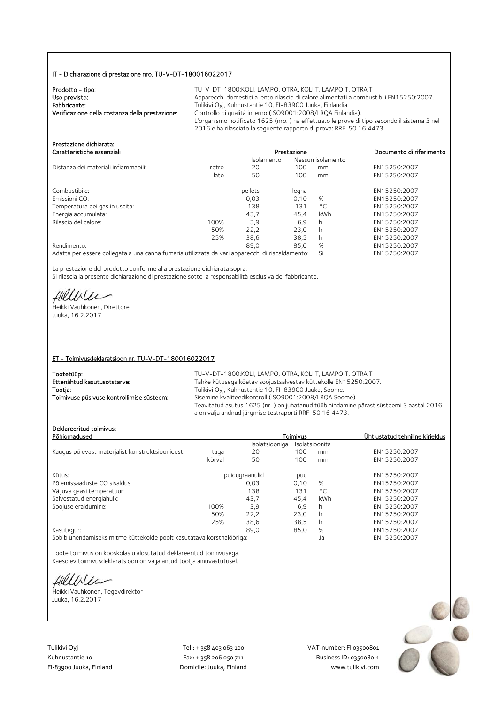# IT - Dichiarazione di prestazione nro. TU-V-DT-180016022017

| Prodotto - tipo:                                | TU-V-DT-1800:KOLI. LAMPO. OTRA. KOLI T. LAMPO T. OTRA T                                    |
|-------------------------------------------------|--------------------------------------------------------------------------------------------|
| Uso previsto:                                   | Apparecchi domestici a lento rilascio di calore alimentati a combustibili EN15250:2007.    |
| Fabbricante:                                    | Tulikivi Oyj, Kuhnustantie 10, FI-83900 Juuka, Finlandia.                                  |
| Verificazione della costanza della prestazione: | Controllo di qualità interno (ISO9001:2008/LROA Finlandia).                                |
|                                                 | L'organismo notificato 1625 (nro.) ha effettuato le prove di tipo secondo il sistema 3 nel |
|                                                 | 2016 e ha rilasciato la seguente rapporto di prova: RRF-50 16 4473.                        |

| Prestazione dichiarata:<br>Caratteristiche essenziali                                           |       |            | Prestazione |                   | Documento di riferimento |
|-------------------------------------------------------------------------------------------------|-------|------------|-------------|-------------------|--------------------------|
|                                                                                                 |       | Isolamento |             | Nessun isolamento |                          |
| Distanza dei materiali infiammabili:                                                            | retro | 20         | 100         | mm                | EN15250:2007             |
|                                                                                                 | lato  | 50         | 100         | mm                | EN15250:2007             |
| Combustibile:                                                                                   |       | pellets    | legna       |                   | EN15250:2007             |
| Emissioni CO:                                                                                   |       | 0.03       | 0.10        | %                 | EN15250:2007             |
| Temperatura dei gas in uscita:                                                                  |       | 138        | 131         | $\circ$ C         | EN15250:2007             |
| Energia accumulata:                                                                             |       | 43,7       | 45,4        | kWh               | EN15250:2007             |
| Rilascio del calore:                                                                            | 100%  | 3.9        | 6.9         | h                 | EN15250:2007             |
|                                                                                                 | 50%   | 22.2       | 23,0        | h                 | EN15250:2007             |
|                                                                                                 | 25%   | 38,6       | 38.5        | h.                | EN15250:2007             |
| Rendimento:                                                                                     |       | 89.0       | 85.0        | %                 | EN15250:2007             |
| Adatta per essere collegata a una canna fumaria utilizzata da vari apparecchi di riscaldamento: |       |            |             | Si                | EN15250:2007             |

La prestazione del prodotto conforme alla prestazione dichiarata sopra. Si rilascia la presente dichiarazione di prestazione sotto la responsabilità esclusiva del fabbricante.

Hillble

Heikki Vauhkonen, Direttore Juuka, 16.2.2017

#### ET - Toimivusdeklaratsioon nr. TU-V-DT-180016022017

| Tootetüüp:                                | TU-V-DT-1800:KOLI. LAMPO. OTRA. KOLI T. LAMPO T. OTRA T                                                                                          |
|-------------------------------------------|--------------------------------------------------------------------------------------------------------------------------------------------------|
| Ettenähtud kasutusotstarve:               | Tahke kütusega köetav soojustsalvestav küttekolle EN15250:2007.                                                                                  |
| Tootja:                                   | Tulikivi Oyj, Kuhnustantie 10, FI-83900 Juuka, Soome.                                                                                            |
| Toimivuse püsivuse kontrollimise süsteem: | Sisemine kvaliteedikontroll (ISO9001:2008/LROA Soome).                                                                                           |
|                                           | Teavitatud asutus 1625 (nr.) on juhatanud tüübihindamine pärast süsteemi 3 aastal 2016<br>a on välja andnud järgmise testraporti RRF-50 16 4473. |

# Deklareeritud toimivus:

| Deklareeritud toimivus:<br>Põhiomadused                        |        |                | <b>Toimivus</b> |              | Ühtlustatud tehniline kirjeldus |
|----------------------------------------------------------------|--------|----------------|-----------------|--------------|---------------------------------|
|                                                                |        | Isolatsiooniga | Isolatsioonita  |              |                                 |
| Kaugus põlevast materjalist konstruktsioonidest:               | taga   | 20             | 100             | mm           | EN15250:2007                    |
|                                                                | kõrval | 50             | 100             | mm           | EN15250:2007                    |
| Kütus:                                                         |        | puidugraanulid | puu             |              | EN15250:2007                    |
| Põlemissaaduste CO sisaldus:                                   |        | 0.03           | 0.10            | %            | EN15250:2007                    |
| Väljuva gaasi temperatuur:                                     |        | 138            | 131             | $^{\circ}$ C | EN15250:2007                    |
| Salvestatud energiahulk:                                       |        | 43,7           | 45.4            | kWh          | EN15250:2007                    |
| Soojuse eraldumine:                                            | 100%   | 3,9            | 6,9             | h            | EN15250:2007                    |
|                                                                | 50%    | 22,2           | 23,0            | h            | EN15250:2007                    |
|                                                                | 25%    | 38,6           | 38,5            | h            | EN15250:2007                    |
| Kasutegur:                                                     |        | 89.0           | 85,0            | %            | EN15250:2007                    |
| A 1980 - I Carl Band Band II Children and the Children Band Co |        |                |                 |              | <b>FULLEDED DOOT</b>            |

Sobib ühendamiseks mitme küttekolde poolt kasutatava korstnalõõriga: Ja EN15250:2007

Toote toimivus on kooskõlas ülalosutatud deklareeritud toimivusega. Käesolev toimivusdeklaratsioon on välja antud tootja ainuvastutusel.

fillblu

Heikki Vauhkonen, Tegevdirektor Juuka, 16.2.2017

Tulikivi Oyj Tel.: + 358 403 063 100 VAT‐number: FI 03500801

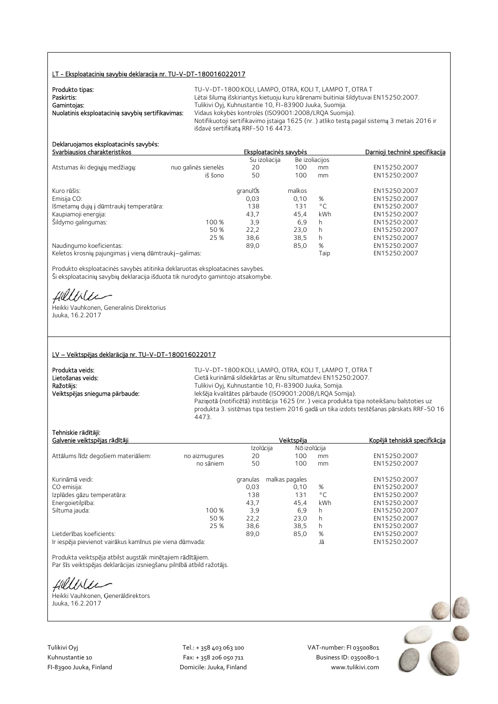#### LT - Eksploatacini**ų** savybi**ų** deklaracij**ą** nr. TU-V-DT-180016022017

| Produkto tipas:                                   | TU-V-DT-1800:KOLI, LAMPO, OTRA, KOLI T, LAMPO T, OTRA T                                    |
|---------------------------------------------------|--------------------------------------------------------------------------------------------|
| Paskirtis:                                        | Lėtai šilumą išskiriantys kietuoju kuru kūrenami buitiniai šildytuvai EN15250:2007.        |
| Gamintojas:                                       | Tulikivi Oyj, Kuhnustantie 10, FI-83900 Juuka, Suomija.                                    |
| Nuolatinis eksploatacinių savybių sertifikavimas: | Vidaus kokybės kontrolės (ISO9001:2008/LROA Suomija).                                      |
|                                                   | Notifikuotoji sertifikavimo įstaiga 1625 (nr.) atliko testą pagal sistemą 3 metais 2016 ir |
|                                                   | išdavė sertifikata RRF-50 16 4473.                                                         |

# Deklaruojamos eksploatacin**ė**s savyb**ė**s:

|                                                       |                      | Su izoliacija |        | Be izoliacijos |              |
|-------------------------------------------------------|----------------------|---------------|--------|----------------|--------------|
| Atstumas iki degiųjų medžiagų:                        | nuo galinės sienelės | 20            | 100    | mm             | EN15250:2007 |
|                                                       | iš šono              | 50            | 100    | mm             | EN15250:2007 |
| Kuro rūšis:                                           |                      | granulÚs      | malkos |                | EN15250:2007 |
| Emisija CO:                                           |                      | 0,03          | 0.10   | %              | EN15250:2007 |
| Išmetamų dujų į dūmtraukį temperatūra:                |                      | 138           | 131    | $^{\circ}$ C   | EN15250:2007 |
| Kaupiamoji energija:                                  |                      | 43,7          | 45.4   | kWh            | EN15250:2007 |
| Šildymo galingumas:                                   | 100 %                | 3,9           | 6.9    | h              | EN15250:2007 |
|                                                       | 50 %                 | 22,2          | 23.0   | h              | EN15250:2007 |
|                                                       | 25 %                 | 38,6          | 38.5   | h              | EN15250:2007 |
| Naudingumo koeficientas:                              |                      | 89,0          | 85,0   | %              | EN15250:2007 |
| Keletos krosnių pajungimas į vieną dūmtraukį-galimas: |                      |               |        | Taip           | EN15250:2007 |

Produkto eksploatacinės savybės atitinka deklaruotas eksploatacines savybes. Ši eksploatacinių savybių deklaracija išduota tik nurodyto gamintojo atsakomybe.

fillblu

Heikki Vauhkonen, Generalinis Direktorius Juuka, 16.2.2017

### LV – Veiktsp**ē**jas deklar**ā**cija nr. TU-V-DT-180016022017

| Produkta veids:                | TH-  |
|--------------------------------|------|
| l Lietošanas veids:            | Cie  |
| Ražotāis:                      | Tuli |
| Veiktspējas snieguma pārbaude: | leks |
|                                | n    |

V-DT-1800:KOLI, LAMPO, OTRA, KOLI T, LAMPO T, OTRA T tā kurināmā sildiekārtas ar lēnu siltumatdevi EN15250:2007. ikivi Oyj, Kuhnustantie 10, FI-83900 Juuka, Somija. Veiktsp**ē**jas snieguma p**ā**rbaude: Iekšēja kvalitātes pārbaude (ISO9001:2008/LRQA Somija). Paziņotā (notificētā) institūcija 1625 (nr. ) veica produkta tipa noteikšanu balstoties uz produkta 3. sistēmas tipa testiem 2016 gadā un tika izdots testēšanas pārskats RRF-50 16 4473.

Svarbiausios charakteristikos Eksploatacin**ė**s savyb**ė**s Darnioji technin**ė** specifikacija

## Tehniskie r**ā**d**ī**t**ā**ji:

| Galvenie veiktspējas rādītāji                            |               |          | Veiktspēja                | Kopējā tehniskā specifkācija |              |
|----------------------------------------------------------|---------------|----------|---------------------------|------------------------------|--------------|
|                                                          |               |          | Izolúcija<br>Nõ izolúcija |                              |              |
| Attālums līdz degošiem materiāliem:                      | no aizmugures | 20       | 100                       | mm                           | EN15250:2007 |
|                                                          | no sāniem     | 50       | 100                       | mm                           | EN15250:2007 |
| Kurināmā veidi:                                          |               | granulas | malkas pagales            |                              | EN15250:2007 |
| CO emisija:                                              |               | 0,03     | 0.10                      | %                            | EN15250:2007 |
| Izplūdes gāzu temperatūra:                               |               | 138      | 131                       | $^{\circ}$ C                 | EN15250:2007 |
| Energoietilpība:                                         |               | 43,7     | 45,4                      | kWh                          | EN15250:2007 |
| Siltuma jauda:                                           | 100 %         | 3.9      | 6,9                       | h                            | EN15250:2007 |
|                                                          | 50 %          | 22,2     | 23.0                      | h                            | EN15250:2007 |
|                                                          | 25 %          | 38,6     | 38,5                      | h                            | EN15250:2007 |
| Lietderības koeficients:                                 |               | 89,0     | 85,0                      | %                            | EN15250:2007 |
| Ir iespēja pievienot vairākus kamīnus pie viena dūmvada: |               |          |                           | Jā                           | EN15250:2007 |

Produkta veiktspēja atbilst augstāk minētajiem rādītājiem. Par šīs veiktspējas deklarācijas izsniegšanu pilnībā atbild ražotājs.

Hillble

Heikki Vauhkonen, Ģenerāldirektors Juuka, 16.2.2017

Tulikivi Oyj Tel.: + 358 403 063 100 VAT‐number: FI 03500801

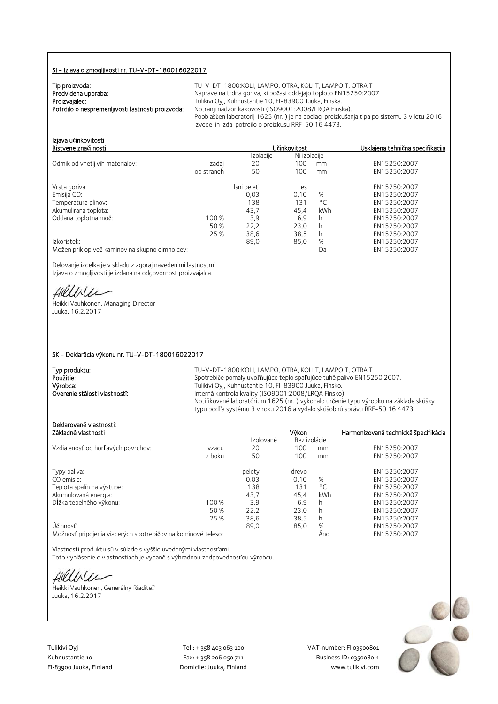### SI - Izjava o zmogljivosti nr. TU-V-DT-180016022017

TU-V-DT-1800: KOLI, LAMPO, OTRA, KOLI T, LAMPO T, OTRA T Naprave na trdna goriva, ki počasi oddajajo toploto EN15250:2007. Tulikivi Oyj, Kuhnustantie 10, FI-83900 Juuka, Finska. Notranji nadzor kakovosti (ISO9001:2008/LRQA Finska). Pooblaščen laboratorij 1625 (nr. ) je na podlagi preizkušanja tipa po sistemu 3 v letu 2016 izvedel in izdal potrdilo o preizkusu RRF-50 16 4473.

Bistvene zna**č**ilnosti U**č**inkovitost Usklajena tehni**č**na specifikacija

| Izjava učinkovitosti |  |
|----------------------|--|
| Bistvene značilnosti |  |
|                      |  |

|                                                |            | Izolacije   | Ni izolacije |              |              |
|------------------------------------------------|------------|-------------|--------------|--------------|--------------|
| Odmik od vnetljivih materialov:                | zadaj      | 20          | 100          | mm           | EN15250:2007 |
|                                                | ob straneh | 50          | 100          | mm           | EN15250:2007 |
| Vrsta goriva:                                  |            | Isni peleti | les          |              | EN15250:2007 |
| Emisija CO:                                    |            | 0,03        | 0.10         | %            | EN15250:2007 |
| Temperatura plinov:                            |            | 138         | 131          | $^{\circ}$ C | EN15250:2007 |
| Akumulirana toplota:                           |            | 43.7        | 45.4         | kWh          | EN15250:2007 |
| Oddana toplotna moč:                           | 100 %      | 3,9         | 6,9          | h            | EN15250:2007 |
|                                                | 50 %       | 22,2        | 23.0         | h            | EN15250:2007 |
|                                                | 25 %       | 38,6        | 38,5         | h            | EN15250:2007 |
| Izkoristek:                                    |            | 89,0        | 85,0         | %            | EN15250:2007 |
| Možen priklop več kaminov na skupno dimno cev: |            |             |              | Da           | EN15250:2007 |

Delovanje izdelka je v skladu z zgoraj navedenimi lastnostmi. Izjava o zmogljivosti je izdana na odgovornost proizvajalca.

Hillbler

Heikki Vauhkonen, Managing Director Juuka, 16.2.2017

#### SK - Deklarácia výkonu nr. TU-V-DT-180016022017

| Tvp produktu:                 | TU-V-DT-1800:KOLI, LAMPO, OTRA, KOLI T, LAMPO T, OTRA T                                                                                                           |
|-------------------------------|-------------------------------------------------------------------------------------------------------------------------------------------------------------------|
| Použitie:                     | Spotrebiče pomaly uvoľňujúce teplo spaľujúce tuhé palivo EN15250:2007.                                                                                            |
| Výrobca:                      | Tulikivi Oyj, Kuhnustantie 10, FI-83900 Juuka, Fínsko.                                                                                                            |
| Overenie stálosti vlastností: | Interná kontrola kvality (ISO9001:2008/LRQA Fínsko).                                                                                                              |
|                               | Notifikované laboratórium 1625 (nr.) vykonalo určenie typu výrobku na základe skúšky<br>typu podľa systému 3 v roku 2016 a vydalo skúšobnú správu RRF-50 16 4473. |

# Deklarované vlastnosti:

| Základné vlastnosti                |        |           | Výkon        |              | Harmonizovaná technická špecifikácia |
|------------------------------------|--------|-----------|--------------|--------------|--------------------------------------|
|                                    |        | Izolované | Bez izolácie |              |                                      |
| Vzdialenosť od horľavých povrchov: | vzadu  | 20        | 100          | mm           | EN15250:2007                         |
|                                    | z boku | 50        | 100          | mm           | EN15250:2007                         |
| Typy paliva:                       |        | pelety    | drevo        |              | EN15250:2007                         |
| CO emisie:                         |        | 0,03      | 0.10         | %            | EN15250:2007                         |
| Teplota spalín na výstupe:         |        | 138       | 131          | $^{\circ}$ C | EN15250:2007                         |
| Akumulovaná energia:               |        | 43,7      | 45,4         | kWh          | EN15250:2007                         |
| Dĺžka tepelného výkonu:            | 100 %  | 3.9       | 6,9          | h            | EN15250:2007                         |
|                                    | 50 %   | 22.2      | 23.0         | h            | EN15250:2007                         |
|                                    | 25 %   | 38.6      | 38,5         | h            | EN15250:2007                         |
| Účinnosť:                          |        | 89,0      | 85,0         | %            | EN15250:2007                         |
|                                    |        |           |              |              | $T$ MAC $2C$ $2C$                    |

Možnosť pripojenia viacerých spotrebičov na komínové teleso: Áno EN15250:2007

Vlastnosti produktu sú v súlade s vyššie uvedenými vlastnosťami. Toto vyhlásenie o vlastnostiach je vydané s výhradnou zodpovednosťou výrobcu.

fillble

Heikki Vauhkonen, Generálny Riaditeľ Juuka, 16.2.2017